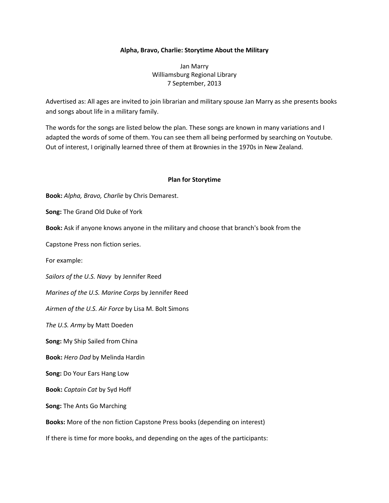## **Alpha, Bravo, Charlie: Storytime About the Military**

Jan Marry Williamsburg Regional Library 7 September, 2013

Advertised as: All ages are invited to join librarian and military spouse Jan Marry as she presents books and songs about life in a military family.

The words for the songs are listed below the plan. These songs are known in many variations and I adapted the words of some of them. You can see them all being performed by searching on Youtube. Out of interest, I originally learned three of them at Brownies in the 1970s in New Zealand.

## **Plan for Storytime**

**Book:** *Alpha, Bravo, Charlie* by Chris Demarest.

**Song:** The Grand Old Duke of York

**Book:** Ask if anyone knows anyone in the military and choose that branch's book from the

Capstone Press non fiction series.

For example:

*Sailors of the U.S. Navy* by Jennifer Reed

*Marines of the U.S. Marine Corps* by Jennifer Reed

*Airmen of the U.S. Air Force* by Lisa M. Bolt Simons

*The U.S. Army* by Matt Doeden

**Song:** My Ship Sailed from China

**Book:** *Hero Dad* by Melinda Hardin

**Song:** Do Your Ears Hang Low

**Book:** *Captain Cat* by Syd Hoff

**Song:** The Ants Go Marching

**Books:** More of the non fiction Capstone Press books (depending on interest)

If there is time for more books, and depending on the ages of the participants: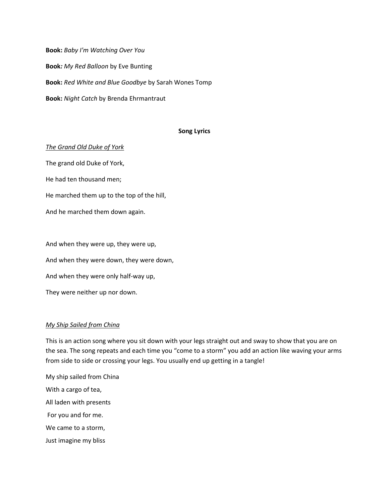**Book:** *Baby I'm Watching Over You* **Book***: My Red Balloon* by Eve Bunting **Book:** *Red White and Blue Goodbye* by Sarah Wones Tomp **Book:** *Night Catch* by Brenda Ehrmantraut

### **Song Lyrics**

#### *The Grand Old Duke of York*

The grand old Duke of York, He had ten thousand men; He marched them up to the top of the hill, And he marched them down again.

And when they were up, they were up, And when they were down, they were down, And when they were only half-way up, They were neither up nor down.

### *My Ship Sailed from China*

This is an action song where you sit down with your legs straight out and sway to show that you are on the sea. The song repeats and each time you "come to a storm" you add an action like waving your arms from side to side or crossing your legs. You usually end up getting in a tangle!

My ship sailed from China With a cargo of tea, All laden with presents For you and for me. We came to a storm, Just imagine my bliss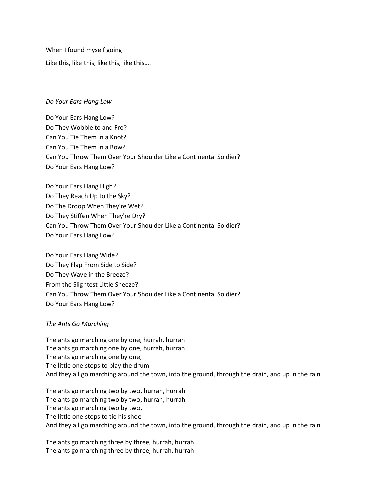When I found myself going Like this, like this, like this, like this….

# *Do Your Ears Hang Low*

Do Your Ears Hang Low? Do They Wobble to and Fro? Can You Tie Them in a Knot? Can You Tie Them in a Bow? Can You Throw Them Over Your Shoulder Like a Continental Soldier? Do Your Ears Hang Low?

Do Your Ears Hang High? Do They Reach Up to the Sky? Do The Droop When They're Wet? Do They Stiffen When They're Dry? Can You Throw Them Over Your Shoulder Like a Continental Soldier? Do Your Ears Hang Low?

Do Your Ears Hang Wide? Do They Flap From Side to Side? Do They Wave in the Breeze? From the Slightest Little Sneeze? Can You Throw Them Over Your Shoulder Like a Continental Soldier? Do Your Ears Hang Low?

# *The Ants Go Marching*

The ants go marching one by one, hurrah, hurrah The ants go marching one by one, hurrah, hurrah The ants go marching one by one, The little one stops to play the drum And they all go marching around the town, into the ground, through the drain, and up in the rain

The ants go marching two by two, hurrah, hurrah The ants go marching two by two, hurrah, hurrah The ants go marching two by two, The little one stops to tie his shoe And they all go marching around the town, into the ground, through the drain, and up in the rain

The ants go marching three by three, hurrah, hurrah The ants go marching three by three, hurrah, hurrah